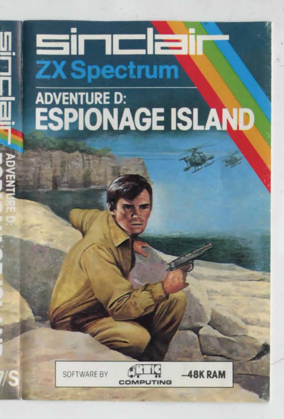## sinclai **ZX Spectrum**

## ADVENTURE D:<br>**ESPIONAGE ISLAND**





**48K RAM**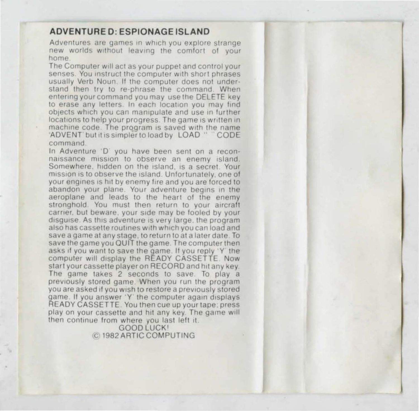## ADVENTURED: ESPIONAGE ISLAND

**Adventures are games 1n which you explore strange**  new worlds without leaving the comfort of your **home** 

The Computer will act as your puppet and control your senses. You instruct the computer with short phrases usually Verb Noun. If the computer does not understand then try to re-phrase the command. When entering your command you may use the DELETE key to erase any letters. In each location you may find **Objects which you can manipulate and use in further**  locations to help your progress. The game is written in machine code. The program is saved with the name 'ADVENT' but it is simpler to load by LOAD "CODE command.<br>In Adventure 'D' you have been sent on a recon-

naissance mission to observe an enemy island. Somewhere, hidden on the island, is a secret. Your mission is to observe the island. Unfortunately, one of **your engines is hit by enemy fire and you are forced to abandon your plane Your adventure begins in the**  aeroplane and leads to the heart of the enemy **stronghold You must then return to your aircraft earner. bul beware. your side may be fooled by your**  disguise. As this adventure is very large, the program also has cassette routines with which you can load and save a game at any stage, to return to at a later date. To save the game you QUIT the game. The computer then asks if you want to save the game. If you reply 'Y' the computer will display the READY CASSETTE. Now start your cassette player on RECORD and hit any key.<br>The game takes 2 seconds to save. To play a previously stored game. When you run the program **you are asked 11 you wish to restore a previously stored**  game. If you answer 'Y' the computer again displays READY CASSETTE. You then cue up your tape: press play on your cassette and hit any key. The game will then continue from where you last left it.

GOOD LUCK! ,c t982 ARTIC COMPUTING